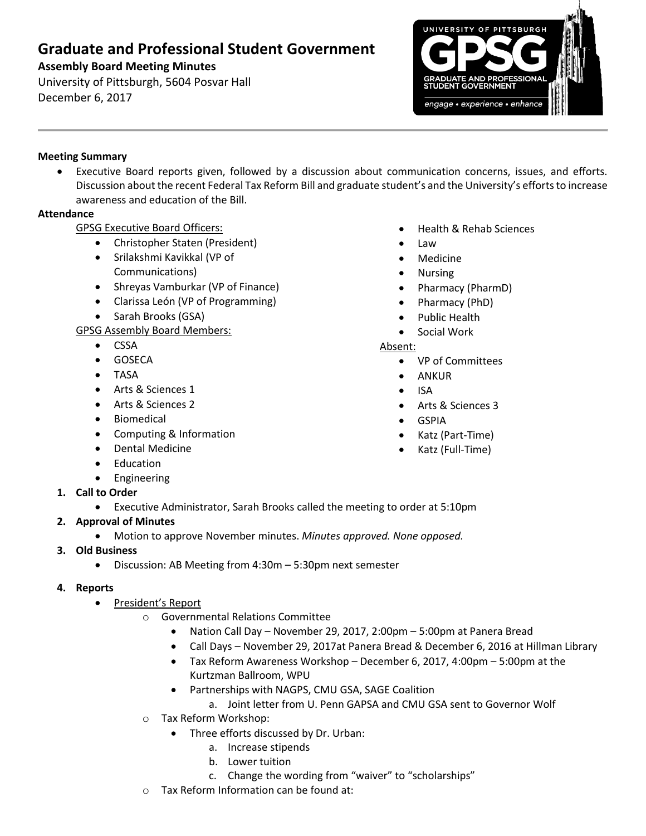# **Graduate and Professional Student Government**

## **Assembly Board Meeting Minutes**

University of Pittsburgh, 5604 Posvar Hall December 6, 2017



#### **Meeting Summary**

 Executive Board reports given, followed by a discussion about communication concerns, issues, and efforts. Discussion about the recent Federal Tax Reform Bill and graduate student's and the University's efforts to increase awareness and education of the Bill.

#### **Attendance**

GPSG Executive Board Officers:

- Christopher Staten (President)
- Srilakshmi Kavikkal (VP of Communications)
- Shreyas Vamburkar (VP of Finance)
- Clarissa León (VP of Programming)
- Sarah Brooks (GSA)

GPSG Assembly Board Members:

- CSSA
- **•** GOSECA
- TASA
- Arts & Sciences 1
- Arts & Sciences 2
- **•** Biomedical
- Computing & Information
- Dental Medicine
- Education
- **•** Engineering
- **1. Call to Order**
	- Executive Administrator, Sarah Brooks called the meeting to order at 5:10pm
- **2. Approval of Minutes** 
	- Motion to approve November minutes. *Minutes approved. None opposed.*
- **3. Old Business**
	- Discussion: AB Meeting from 4:30m 5:30pm next semester

### **4. Reports**

- President's Report
	- o Governmental Relations Committee
		- Nation Call Day November 29, 2017, 2:00pm 5:00pm at Panera Bread
		- Call Days November 29, 2017at Panera Bread & December 6, 2016 at Hillman Library
		- Tax Reform Awareness Workshop December 6, 2017, 4:00pm 5:00pm at the Kurtzman Ballroom, WPU
		- Partnerships with NAGPS, CMU GSA, SAGE Coalition
			- a. Joint letter from U. Penn GAPSA and CMU GSA sent to Governor Wolf
	- Tax Reform Workshop:
		- Three efforts discussed by Dr. Urban:
			- a. Increase stipends
			- b. Lower tuition
			- c. Change the wording from "waiver" to "scholarships"
	- Tax Reform Information can be found at:
- Health & Rehab Sciences
- Law
- Medicine
- Nursing
- Pharmacy (PharmD)
- Pharmacy (PhD)
- Public Health
- Social Work

### Absent:

- VP of Committees
- ANKUR
- ISA
- Arts & Sciences 3
- GSPIA
- Katz (Part-Time)
- Katz (Full-Time)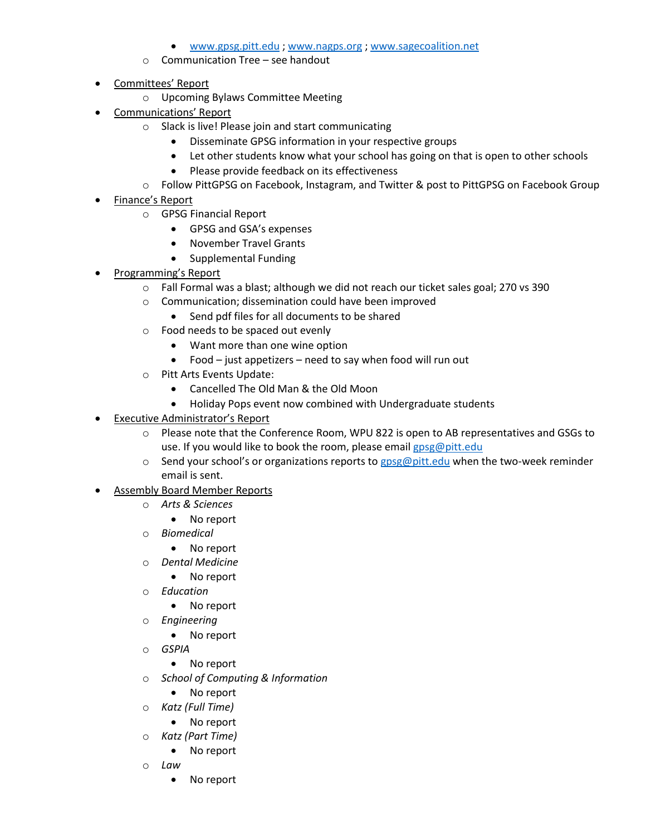- [www.gpsg.pitt.edu](http://www.gpsg.pitt.edu/) ; [www.nagps.org](http://www.nagps.org/) ; [www.sagecoalition.net](http://www.sagecoalition.net/)
- $\circ$  Communication Tree see handout
- Committees' Report
	- o Upcoming Bylaws Committee Meeting
- Communications' Report
	- o Slack is live! Please join and start communicating
		- Disseminate GPSG information in your respective groups
		- Let other students know what your school has going on that is open to other schools
		- Please provide feedback on its effectiveness
	- o Follow PittGPSG on Facebook, Instagram, and Twitter & post to PittGPSG on Facebook Group
- Finance's Report
	- o GPSG Financial Report
		- GPSG and GSA's expenses
		- November Travel Grants
		- Supplemental Funding
- Programming's Report
	- o Fall Formal was a blast; although we did not reach our ticket sales goal; 270 vs 390
	- o Communication; dissemination could have been improved
		- Send pdf files for all documents to be shared
	- o Food needs to be spaced out evenly
		- Want more than one wine option
		- Food just appetizers need to say when food will run out
	- o Pitt Arts Events Update:
		- Cancelled The Old Man & the Old Moon
		- Holiday Pops event now combined with Undergraduate students
- Executive Administrator's Report
	- o Please note that the Conference Room, WPU 822 is open to AB representatives and GSGs to use. If you would like to book the room, please email [gpsg@pitt.edu](mailto:gpsg@pitt.edu)
	- $\circ$  Send your school's or organizations reports to [gpsg@pitt.edu](mailto:gpsg@pitt.edu) when the two-week reminder email is sent.
- Assembly Board Member Reports
	- o *Arts & Sciences*
		- No report
	- o *Biomedical*
		- No report
	- o *Dental Medicine*
		- No report
	- o *Education*
		- No report
	- o *Engineering*
		- No report
	- o *GSPIA*
		- No report
	- o *School of Computing & Information*
		- No report
	- o *Katz (Full Time)*
		- No report
	- o *Katz (Part Time)*
		- No report
	- o *Law*
		- No report